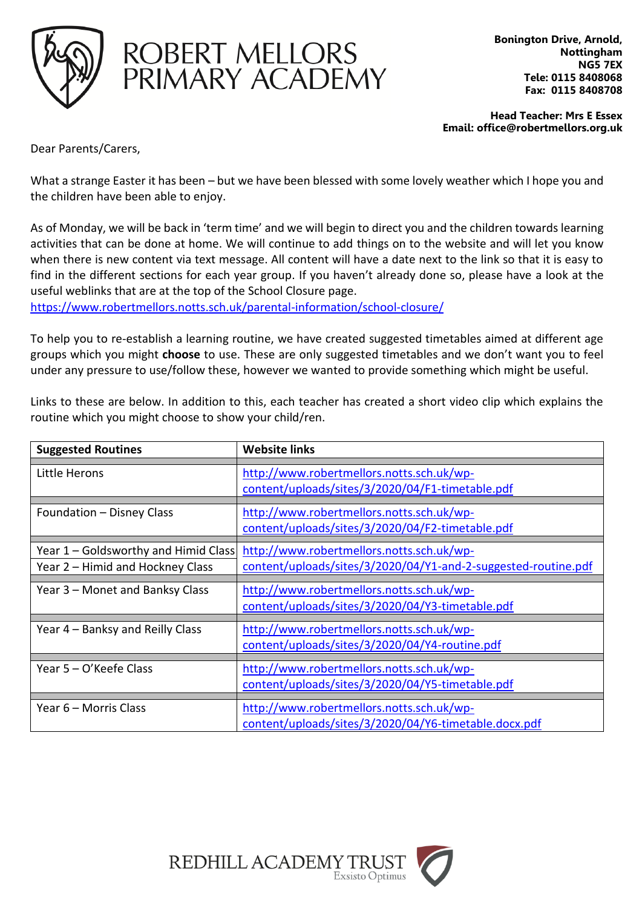



**Head Teacher: Mrs E Essex Email: office@robertmellors.org.uk**

Dear Parents/Carers,

What a strange Easter it has been – but we have been blessed with some lovely weather which I hope you and the children have been able to enjoy.

As of Monday, we will be back in 'term time' and we will begin to direct you and the children towards learning activities that can be done at home. We will continue to add things on to the website and will let you know when there is new content via text message. All content will have a date next to the link so that it is easy to find in the different sections for each year group. If you haven't already done so, please have a look at the useful weblinks that are at the top of the School Closure page.

<https://www.robertmellors.notts.sch.uk/parental-information/school-closure/>

To help you to re-establish a learning routine, we have created suggested timetables aimed at different age groups which you might **choose** to use. These are only suggested timetables and we don't want you to feel under any pressure to use/follow these, however we wanted to provide something which might be useful.

Links to these are below. In addition to this, each teacher has created a short video clip which explains the routine which you might choose to show your child/ren.

| <b>Suggested Routines</b>                                                | <b>Website links</b>                                                                                        |
|--------------------------------------------------------------------------|-------------------------------------------------------------------------------------------------------------|
| Little Herons                                                            | http://www.robertmellors.notts.sch.uk/wp-<br>content/uploads/sites/3/2020/04/F1-timetable.pdf               |
| Foundation - Disney Class                                                | http://www.robertmellors.notts.sch.uk/wp-<br>content/uploads/sites/3/2020/04/F2-timetable.pdf               |
| Year 1 - Goldsworthy and Himid Class<br>Year 2 - Himid and Hockney Class | http://www.robertmellors.notts.sch.uk/wp-<br>content/uploads/sites/3/2020/04/Y1-and-2-suggested-routine.pdf |
| Year 3 – Monet and Banksy Class                                          | http://www.robertmellors.notts.sch.uk/wp-<br>content/uploads/sites/3/2020/04/Y3-timetable.pdf               |
| Year 4 - Banksy and Reilly Class                                         | http://www.robertmellors.notts.sch.uk/wp-<br>content/uploads/sites/3/2020/04/Y4-routine.pdf                 |
| Year 5 - O'Keefe Class                                                   | http://www.robertmellors.notts.sch.uk/wp-<br>content/uploads/sites/3/2020/04/Y5-timetable.pdf               |
| Year 6 – Morris Class                                                    | http://www.robertmellors.notts.sch.uk/wp-<br>content/uploads/sites/3/2020/04/Y6-timetable.docx.pdf          |